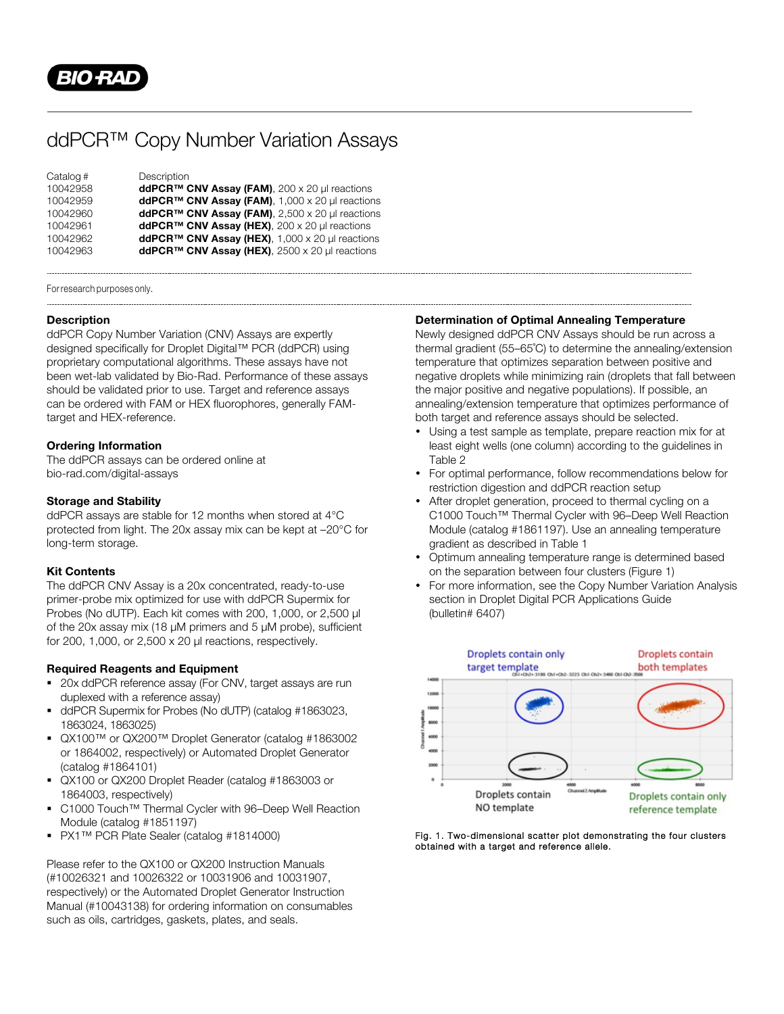

# ddPCR™ Copy Number Variation Assays

| Catalog # | Description                                                 |
|-----------|-------------------------------------------------------------|
| 10042958  | ddPCR™ CNV Assay (FAM), 200 x 20 µl reactions               |
| 10042959  | ddPCR <sup>™</sup> CNV Assay (FAM), 1,000 x 20 µl reactions |
| 10042960  | ddPCR <sup>™</sup> CNV Assay (FAM), 2,500 x 20 µl reactions |
| 10042961  | ddPCR <sup>™</sup> CNV Assay (HEX), 200 x 20 µl reactions   |
| 10042962  | ddPCR <sup>™</sup> CNV Assay (HEX), 1,000 x 20 µl reactions |
| 10042963  | ddPCR <sup>™</sup> CNV Assay (HEX), 2500 x 20 µl reactions  |

For research purposes only.

#### **Description**

ddPCR Copy Number Variation (CNV) Assays are expertly designed specifically for Droplet Digital™ PCR (ddPCR) using proprietary computational algorithms. These assays have not been wet-lab validated by Bio-Rad. Performance of these assays should be validated prior to use. Target and reference assays can be ordered with FAM or HEX fluorophores, generally FAMtarget and HEX-reference.

#### **Ordering Information**

The ddPCR assays can be ordered online at bio-rad.com/digital-assays

#### **Storage and Stability**

ddPCR assays are stable for 12 months when stored at 4°C protected from light. The 20x assay mix can be kept at –20°C for long-term storage.

## **Kit Contents**

The ddPCR CNV Assay is a 20x concentrated, ready-to-use primer-probe mix optimized for use with ddPCR Supermix for Probes (No dUTP). Each kit comes with 200, 1,000, or 2,500 µl of the 20x assay mix (18 µM primers and 5 µM probe), sufficient for 200, 1,000, or 2,500 x 20 µl reactions, respectively.

## **Required Reagents and Equipment**

- 20x ddPCR reference assay (For CNV, target assays are run duplexed with a reference assay)
- § ddPCR Supermix for Probes (No dUTP) (catalog #1863023, 1863024, 1863025)
- QX100™ or QX200™ Droplet Generator (catalog #1863002 or 1864002, respectively) or Automated Droplet Generator (catalog #1864101)
- § QX100 or QX200 Droplet Reader (catalog #1863003 or 1864003, respectively)
- § C1000 Touch™ Thermal Cycler with 96–Deep Well Reaction Module (catalog #1851197)
- PX1™ PCR Plate Sealer (catalog #1814000)

Please refer to the QX100 or QX200 Instruction Manuals (#10026321 and 10026322 or 10031906 and 10031907, respectively) or the Automated Droplet Generator Instruction Manual (#10043138) for ordering information on consumables such as oils, cartridges, gaskets, plates, and seals.

#### **Determination of Optimal Annealing Temperature**

Newly designed ddPCR CNV Assays should be run across a thermal gradient (55–65˚C) to determine the annealing/extension temperature that optimizes separation between positive and negative droplets while minimizing rain (droplets that fall between the major positive and negative populations). If possible, an annealing/extension temperature that optimizes performance of both target and reference assays should be selected.

- Using a test sample as template, prepare reaction mix for at least eight wells (one column) according to the guidelines in Table 2
- For optimal performance, follow recommendations below for restriction digestion and ddPCR reaction setup
- After droplet generation, proceed to thermal cycling on a C1000 Touch™ Thermal Cycler with 96–Deep Well Reaction Module (catalog #1861197). Use an annealing temperature gradient as described in Table 1
- Optimum annealing temperature range is determined based on the separation between four clusters (Figure 1)
- For more information, see the Copy Number Variation Analysis section in Droplet Digital PCR Applications Guide (bulletin# 6407)



Fig. 1. Two-dimensional scatter plot demonstrating the four clusters obtained with a target and reference allele.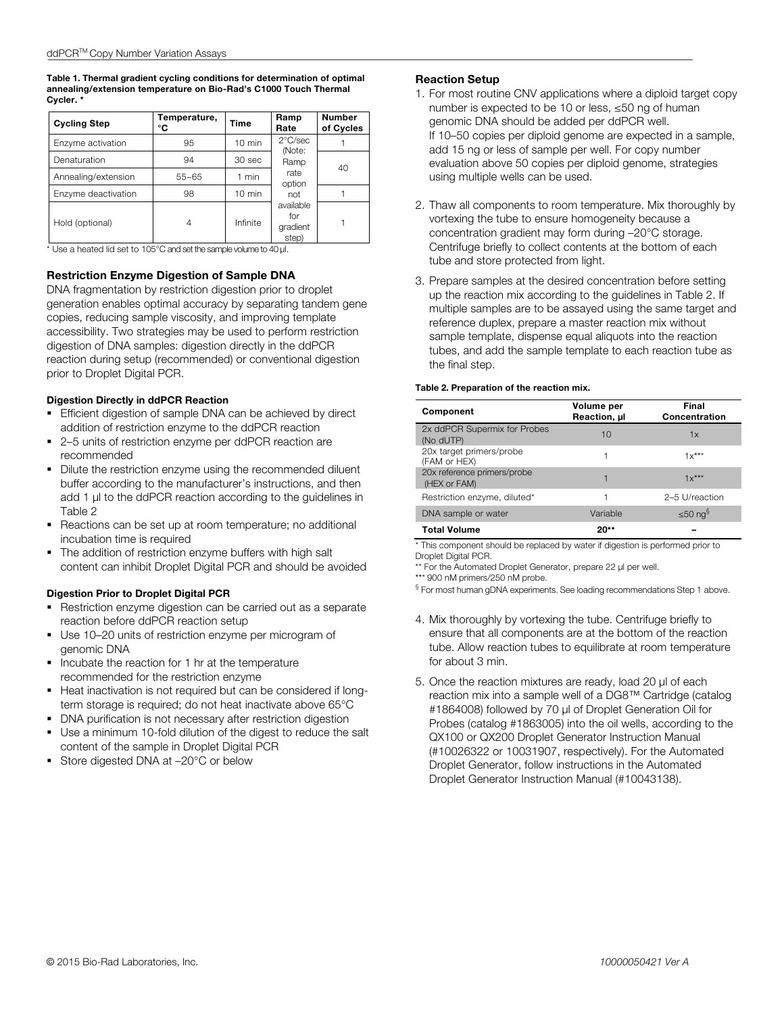**Table 1. Thermal gradient cycling conditions for determination of optimal annealing/extension temperature on Bio-Rad's C1000 Touch Thermal Cycler. \***

| <b>Cycling Step</b> | Temperature,<br>°C | Time             | Ramp<br>Rate                                                                                          | <b>Number</b><br>of Cycles |
|---------------------|--------------------|------------------|-------------------------------------------------------------------------------------------------------|----------------------------|
| Enzyme activation   | 95                 | $10 \text{ min}$ | $2^{\circ}$ C/sec<br>(Note:<br>Ramp<br>rate<br>option<br>not<br>available<br>for<br>gradient<br>step) |                            |
| Denaturation        | 94                 | 30 sec           |                                                                                                       | 40                         |
| Annealing/extension | $55 - 65$          | 1 min            |                                                                                                       |                            |
| Enzyme deactivation | 98                 | $10 \text{ min}$ |                                                                                                       |                            |
| Hold (optional)     | 4                  | Infinite         |                                                                                                       |                            |

\* Use a heated lid set to 105°C and set the sample volume to 40 μl.

#### **Restriction Enzyme Digestion of Sample DNA**

DNA fragmentation by restriction digestion prior to droplet generation enables optimal accuracy by separating tandem gene copies, reducing sample viscosity, and improving template accessibility. Two strategies may be used to perform restriction digestion of DNA samples: digestion directly in the ddPCR reaction during setup (recommended) or conventional digestion prior to Droplet Digital PCR.

#### **Digestion Directly in ddPCR Reaction**

- **Efficient digestion of sample DNA can be achieved by direct** addition of restriction enzyme to the ddPCR reaction
- 2–5 units of restriction enzyme per ddPCR reaction are recommended
- Dilute the restriction enzyme using the recommended diluent buffer according to the manufacturer's instructions, and then add 1 µl to the ddPCR reaction according to the guidelines in Table 2
- § Reactions can be set up at room temperature; no additional incubation time is required
- The addition of restriction enzyme buffers with high salt content can inhibit Droplet Digital PCR and should be avoided

#### **Digestion Prior to Droplet Digital PCR**

- Restriction enzyme digestion can be carried out as a separate reaction before ddPCR reaction setup
- Use 10–20 units of restriction enzyme per microgram of genomic DNA
- Incubate the reaction for 1 hr at the temperature recommended for the restriction enzyme
- § Heat inactivation is not required but can be considered if longterm storage is required; do not heat inactivate above 65°C
- **DNA purification is not necessary after restriction digestion**
- § Use a minimum 10-fold dilution of the digest to reduce the salt content of the sample in Droplet Digital PCR
- Store digested DNA at -20°C or below

# **Reaction Setup**

- 1. For most routine CNV applications where a diploid target copy number is expected to be 10 or less, ≤50 ng of human genomic DNA should be added per ddPCR well. If 10–50 copies per diploid genome are expected in a sample, add 15 ng or less of sample per well. For copy number evaluation above 50 copies per diploid genome, strategies using multiple wells can be used.
- 2. Thaw all components to room temperature. Mix thoroughly by vortexing the tube to ensure homogeneity because a concentration gradient may form during –20°C storage. Centrifuge briefly to collect contents at the bottom of each tube and store protected from light.
- 3. Prepare samples at the desired concentration before setting up the reaction mix according to the guidelines in Table 2. If multiple samples are to be assayed using the same target and reference duplex, prepare a master reaction mix without sample template, dispense equal aliquots into the reaction tubes, and add the sample template to each reaction tube as the final step.

#### **Table 2. Preparation of the reaction mix.**

| Component                                   | Volume per<br>Reaction, ul | Final<br>Concentration |  |
|---------------------------------------------|----------------------------|------------------------|--|
| 2x ddPCR Supermix for Probes<br>(No dUTP)   | 10                         | 1x                     |  |
| 20x target primers/probe<br>(FAM or HEX)    |                            | $1x***$                |  |
| 20x reference primers/probe<br>(HEX or FAM) |                            | $1x***$                |  |
| Restriction enzyme, diluted*                |                            | 2-5 U/reaction         |  |
| DNA sample or water                         | Variable                   | ≤50 ng§                |  |
| <b>Total Volume</b>                         | $20**$                     |                        |  |

\* This component should be replaced by water if digestion is performed prior to Droplet Digital PCR.

\*\* For the Automated Droplet Generator, prepare 22 µl per well.

\*\*\* 900 nM primers/250 nM probe.

§ For most human gDNA experiments. See loading recommendations Step 1 above.

- 4. Mix thoroughly by vortexing the tube. Centrifuge briefly to ensure that all components are at the bottom of the reaction tube. Allow reaction tubes to equilibrate at room temperature for about 3 min.
- 5. Once the reaction mixtures are ready, load 20 μl of each reaction mix into a sample well of a DG8™ Cartridge (catalog #1864008) followed by 70 μl of Droplet Generation Oil for Probes (catalog #1863005) into the oil wells, according to the QX100 or QX200 Droplet Generator Instruction Manual (#10026322 or 10031907, respectively). For the Automated Droplet Generator, follow instructions in the Automated Droplet Generator Instruction Manual (#10043138).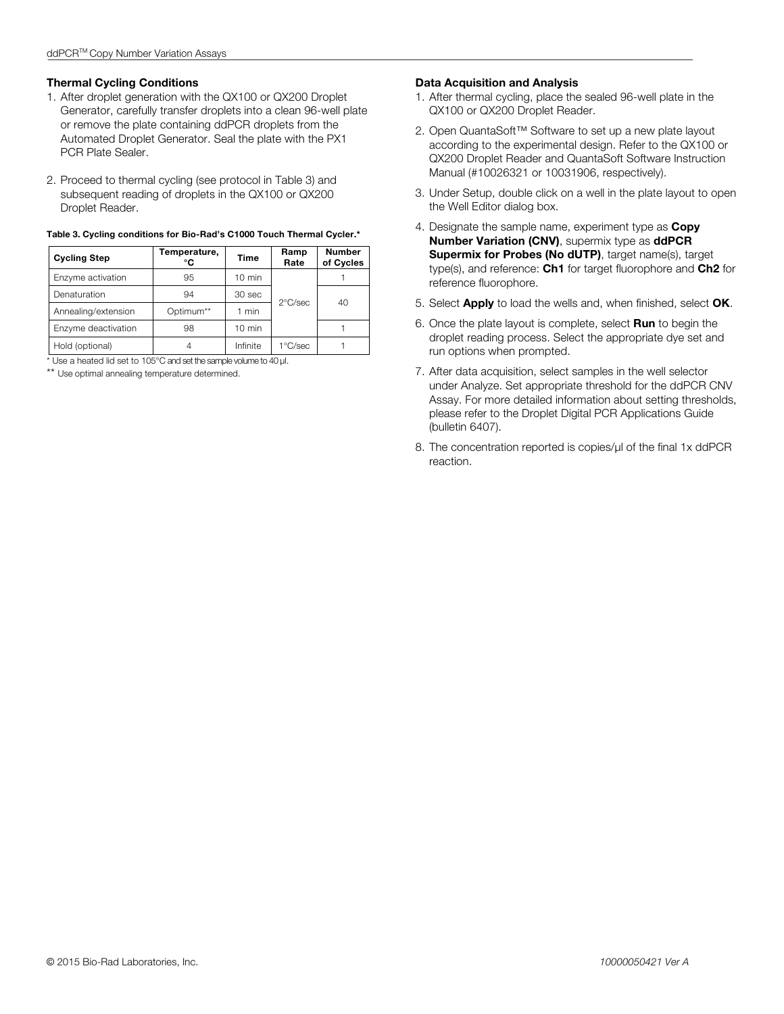## **Thermal Cycling Conditions**

- 1. After droplet generation with the QX100 or QX200 Droplet Generator, carefully transfer droplets into a clean 96-well plate or remove the plate containing ddPCR droplets from the Automated Droplet Generator. Seal the plate with the PX1 PCR Plate Sealer.
- 2. Proceed to thermal cycling (see protocol in Table 3) and subsequent reading of droplets in the QX100 or QX200 Droplet Reader.

| <b>Cycling Step</b>                                                 | Temperature,<br>°C | Time             | Ramp<br>Rate      | <b>Number</b><br>of Cycles |  |
|---------------------------------------------------------------------|--------------------|------------------|-------------------|----------------------------|--|
| Enzyme activation                                                   | 95                 | $10 \text{ min}$ | $2^{\circ}$ C/sec |                            |  |
| Denaturation                                                        | 94                 | 30 sec           |                   | 40                         |  |
| Annealing/extension                                                 | Optimum**          | 1 min            |                   |                            |  |
| Enzyme deactivation                                                 | 98                 | $10 \text{ min}$ |                   |                            |  |
| Hold (optional)                                                     | 4                  | Infinite         | 1°C/sec           |                            |  |
| * Use a heated lid set to 105°C and set the sample volume to 40 µl. |                    |                  |                   |                            |  |

# **Table 3. Cycling conditions for Bio-Rad's C1000 Touch Thermal Cycler.\***

\*\* Use optimal annealing temperature determined.

# **Data Acquisition and Analysis**

- 1. After thermal cycling, place the sealed 96-well plate in the QX100 or QX200 Droplet Reader.
- 2. Open QuantaSoft™ Software to set up a new plate layout according to the experimental design. Refer to the QX100 or QX200 Droplet Reader and QuantaSoft Software Instruction Manual (#10026321 or 10031906, respectively).
- 3. Under Setup, double click on a well in the plate layout to open the Well Editor dialog box.
- 4. Designate the sample name, experiment type as **Copy Number Variation (CNV)**, supermix type as **ddPCR Supermix for Probes (No dUTP)**, target name(s), target type(s), and reference: **Ch1** for target fluorophore and **Ch2** for reference fluorophore.
- 5. Select **Apply** to load the wells and, when finished, select **OK**.
- 6. Once the plate layout is complete, select **Run** to begin the droplet reading process. Select the appropriate dye set and run options when prompted.
- 7. After data acquisition, select samples in the well selector under Analyze. Set appropriate threshold for the ddPCR CNV Assay. For more detailed information about setting thresholds, please refer to the Droplet Digital PCR Applications Guide (bulletin 6407).
- 8. The concentration reported is copies/μl of the final 1x ddPCR reaction.